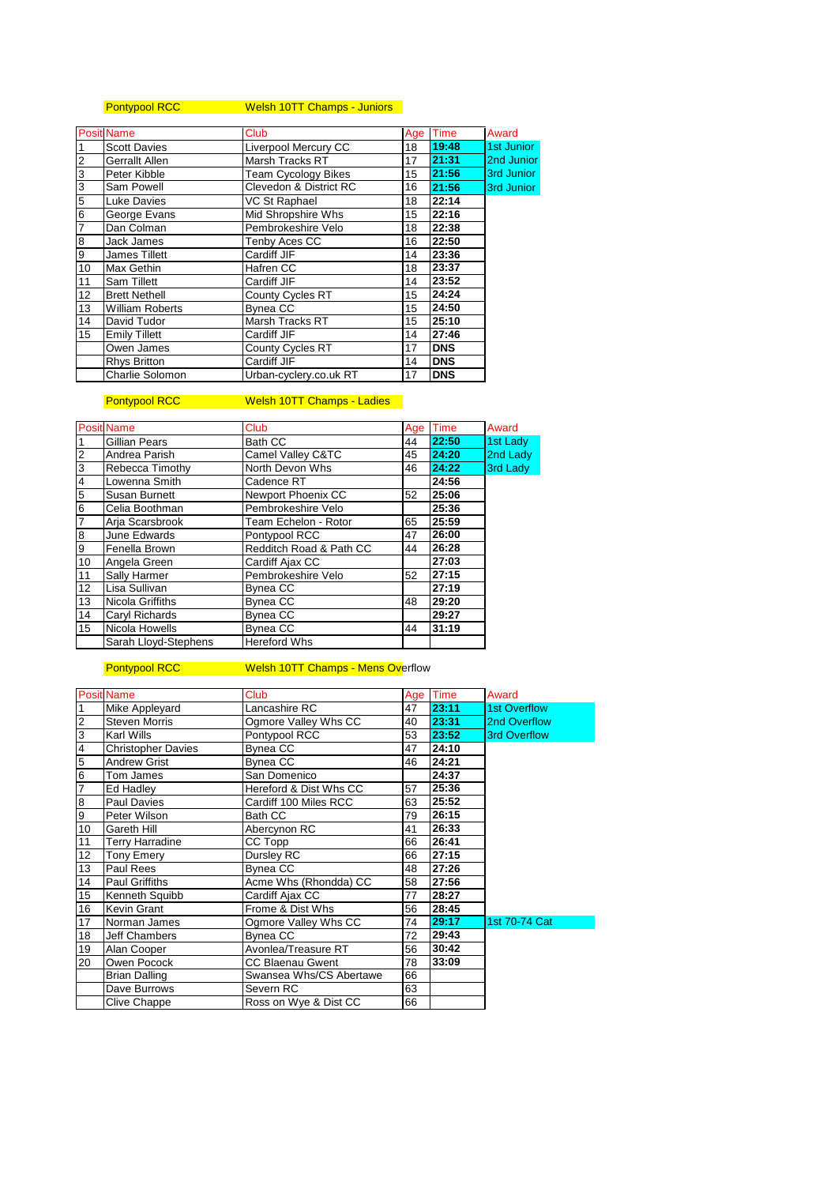# Pontypool RCC Welsh 10TT Champs - Juniors

|                | <b>Posit Name</b>                           | Club                   | Age | Time       | Award      |
|----------------|---------------------------------------------|------------------------|-----|------------|------------|
| $\overline{1}$ | Liverpool Mercury CC<br><b>Scott Davies</b> |                        | 18  | 19:48      | 1st Junior |
| $\overline{c}$ | Gerrallt Allen                              | Marsh Tracks RT        | 17  | 21:31      | 2nd Junior |
| $\frac{3}{3}$  | Peter Kibble<br><b>Team Cycology Bikes</b>  |                        | 15  | 21:56      | 3rd Junior |
|                | Clevedon & District RC<br>Sam Powell        |                        | 16  | 21:56      | 3rd Junior |
| $\frac{5}{6}$  | Luke Davies                                 | VC St Raphael          | 18  | 22:14      |            |
|                | George Evans                                | Mid Shropshire Whs     | 15  | 22:16      |            |
| $\overline{7}$ | Dan Colman                                  | Pembrokeshire Velo     | 18  | 22:38      |            |
| $\bf 8$        | Jack James                                  | Tenby Aces CC          | 16  | 22:50      |            |
| 9              | James Tillett                               | Cardiff JIF            | 14  | 23:36      |            |
| 10             | Max Gethin                                  | Hafren CC              | 18  | 23:37      |            |
| 11             | Sam Tillett                                 | Cardiff JIF            | 14  | 23:52      |            |
| 12             | <b>Brett Nethell</b>                        | County Cycles RT       | 15  | 24:24      |            |
| 13             | <b>William Roberts</b>                      | <b>Bynea CC</b>        | 15  | 24:50      |            |
| 14             | David Tudor                                 | Marsh Tracks RT        | 15  | 25:10      |            |
| 15             | <b>Emily Tillett</b>                        | Cardiff JIF            | 14  | 27:46      |            |
|                | Owen James                                  | County Cycles RT       | 17  | <b>DNS</b> |            |
|                | Rhys Britton                                | Cardiff JIF            | 14  | <b>DNS</b> |            |
|                | Charlie Solomon                             | Urban-cyclery.co.uk RT | 17  | <b>DNS</b> |            |

## Pontypool RCC Welsh 10TT Champs - Ladies

|                | <b>Posit Name</b>    | <b>Club</b>             | Age | <b>Time</b> | Award    |
|----------------|----------------------|-------------------------|-----|-------------|----------|
|                | Gillian Pears        | <b>Bath CC</b>          | 44  | 22:50       | 1st Lady |
| $\overline{2}$ | Andrea Parish        | Camel Valley C&TC       | 45  | 24:20       | 2nd Lady |
| 3              | Rebecca Timothy      | North Devon Whs         | 46  | 24:22       | 3rd Lady |
| $\overline{4}$ | Lowenna Smith        | Cadence RT              |     | 24:56       |          |
| $\overline{5}$ | Susan Burnett        | Newport Phoenix CC      | 52  | 25:06       |          |
| 6              | Celia Boothman       | Pembrokeshire Velo      |     | 25:36       |          |
| 17             | Arja Scarsbrook      | Team Echelon - Rotor    | 65  | 25:59       |          |
| 8              | June Edwards         | Pontypool RCC           | 47  | 26:00       |          |
| 9              | Fenella Brown        | Redditch Road & Path CC | 44  | 26:28       |          |
| 10             | Angela Green         | Cardiff Ajax CC         |     | 27:03       |          |
| 11             | Sally Harmer         | Pembrokeshire Velo      | 52  | 27:15       |          |
| 12             | Lisa Sullivan        | Bynea CC                |     | 27:19       |          |
| 13             | Nicola Griffiths     | <b>Bynea CC</b>         | 48  | 29:20       |          |
| 14             | Caryl Richards       | <b>Bynea CC</b>         |     | 29:27       |          |
| 15             | Nicola Howells       | Bynea CC                | 44  | 31:19       |          |
|                | Sarah Lloyd-Stephens | <b>Hereford Whs</b>     |     |             |          |

### Pontypool RCC Welsh 10TT Champs - Mens Overflow

|                 | <b>Posit Name</b>         | <b>Club</b>             |    | Age Time | Award               |
|-----------------|---------------------------|-------------------------|----|----------|---------------------|
| $\overline{1}$  | Mike Appleyard            | Lancashire RC           | 47 | 23:11    | <b>1st Overflow</b> |
| လကြ             | <b>Steven Morris</b>      | Ogmore Valley Whs CC    | 40 | 23:31    | 2nd Overflow        |
|                 | Karl Wills                | Pontypool RCC           | 53 | 23:52    | <b>3rd Overflow</b> |
| $\overline{4}$  | <b>Christopher Davies</b> | Bynea CC                | 47 | 24:10    |                     |
| 5               | <b>Andrew Grist</b>       | Bynea CC                | 46 | 24:21    |                     |
| $6\overline{6}$ | Tom James                 | San Domenico            |    | 24:37    |                     |
| $\overline{7}$  | Ed Hadley                 | Hereford & Dist Whs CC  | 57 | 25:36    |                     |
| 8               | <b>Paul Davies</b>        | Cardiff 100 Miles RCC   | 63 | 25:52    |                     |
| 0               | Peter Wilson              | Bath CC                 | 79 | 26:15    |                     |
| 10              | Gareth Hill               | Abercynon RC            | 41 | 26:33    |                     |
| 11              | <b>Terry Harradine</b>    | CC Topp                 | 66 | 26:41    |                     |
| 12              | <b>Tony Emery</b>         | Dursley RC              | 66 | 27:15    |                     |
| 13              | Paul Rees                 | <b>Bynea CC</b>         | 48 | 27:26    |                     |
| 14              | <b>Paul Griffiths</b>     | Acme Whs (Rhondda) CC   | 58 | 27:56    |                     |
| 15              | Kenneth Squibb            | Cardiff Ajax CC         | 77 | 28:27    |                     |
| 16              | Kevin Grant               | Frome & Dist Whs        | 56 | 28:45    |                     |
| 17              | Norman James              | Ogmore Valley Whs CC    | 74 | 29:17    | 1st 70-74 Cat       |
| 18              | Jeff Chambers             | <b>Bynea CC</b>         | 72 | 29:43    |                     |
| 19              | Alan Cooper               | Avonlea/Treasure RT     | 56 | 30:42    |                     |
| 20              | Owen Pocock               | <b>CC Blaenau Gwent</b> | 78 | 33:09    |                     |
|                 | Brian Dalling             | Swansea Whs/CS Abertawe | 66 |          |                     |
|                 | Dave Burrows              | Severn RC               | 63 |          |                     |
|                 | Clive Chappe              | Ross on Wye & Dist CC   | 66 |          |                     |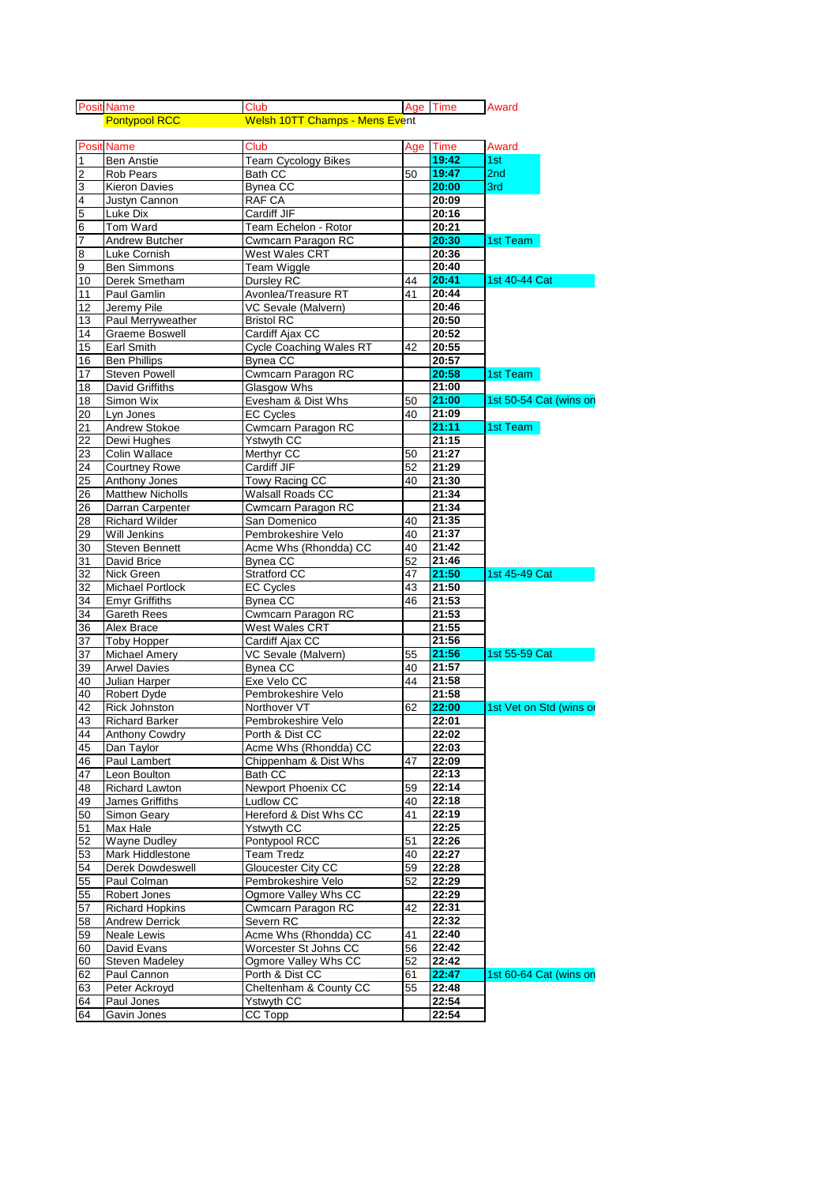|                | <b>Posit Name</b>       | Club                           |    | Age Time | Award                   |
|----------------|-------------------------|--------------------------------|----|----------|-------------------------|
|                | <b>Pontypool RCC</b>    | Welsh 10TT Champs - Mens Event |    |          |                         |
|                |                         |                                |    |          |                         |
|                | <b>Posit Name</b>       | Club                           |    | Age Time | Award                   |
| 1              | <b>Ben Anstie</b>       | <b>Team Cycology Bikes</b>     |    | 19:42    | 1st                     |
| $\overline{2}$ | <b>Rob Pears</b>        | <b>Bath CC</b>                 | 50 | 19:47    | 2nd                     |
| 3              | <b>Kieron Davies</b>    | <b>Bynea CC</b>                |    | 20:00    | 3rd                     |
| 4              | Justyn Cannon           | <b>RAF CA</b>                  |    | 20:09    |                         |
| 5              | Luke Dix                | Cardiff JIF                    |    | 20:16    |                         |
| 6              | Tom Ward                | Team Echelon - Rotor           |    | 20:21    |                         |
| 7              | Andrew Butcher          | Cwmcarn Paragon RC             |    | 20:30    | 1st Team                |
| 8              | Luke Cornish            | West Wales CRT                 |    | 20:36    |                         |
| 9              | <b>Ben Simmons</b>      | <b>Team Wiggle</b>             |    | 20:40    |                         |
| 10             | Derek Smetham           | Dursley RC                     | 44 | 20:41    | 1st 40-44 Cat           |
| 11             | Paul Gamlin             | Avonlea/Treasure RT            | 41 | 20:44    |                         |
| 12             | Jeremy Pile             | VC Sevale (Malvern)            |    | 20:46    |                         |
| 13             | Paul Merryweather       | <b>Bristol RC</b>              |    | 20:50    |                         |
| 14             | Graeme Boswell          | Cardiff Ajax CC                |    | 20:52    |                         |
| 15             | <b>Earl Smith</b>       | <b>Cycle Coaching Wales RT</b> | 42 | 20:55    |                         |
| 16             | <b>Ben Phillips</b>     | <b>Bynea CC</b>                |    | 20:57    |                         |
| 17             | <b>Steven Powell</b>    | Cwmcarn Paragon RC             |    | 20:58    | 1st Team                |
| 18             | David Griffiths         | Glasgow Whs                    |    | 21:00    |                         |
| 18             | Simon Wix               | Evesham & Dist Whs             | 50 | 21:00    | 1st 50-54 Cat (wins on  |
| 20             | Lyn Jones               | <b>EC Cycles</b>               | 40 | 21:09    |                         |
| 21             | <b>Andrew Stokoe</b>    | Cwmcarn Paragon RC             |    | 21:11    | 1st Team                |
| 22             | Dewi Hughes             | Ystwyth CC                     |    | 21:15    |                         |
| 23             | Colin Wallace           | Merthyr CC                     | 50 | 21:27    |                         |
| 24             | <b>Courtney Rowe</b>    | Cardiff JIF                    | 52 | 21:29    |                         |
| 25             | Anthony Jones           | Towy Racing CC                 | 40 | 21:30    |                         |
| 26             | <b>Matthew Nicholls</b> | Walsall Roads CC               |    | 21:34    |                         |
| 26             | Darran Carpenter        | Cwmcarn Paragon RC             |    | 21:34    |                         |
| 28             | <b>Richard Wilder</b>   | San Domenico                   | 40 | 21:35    |                         |
| 29             | <b>Will Jenkins</b>     | Pembrokeshire Velo             | 40 | 21:37    |                         |
| 30             | <b>Steven Bennett</b>   | Acme Whs (Rhondda) CC          | 40 | 21:42    |                         |
| 31             | David Brice             | <b>Bynea CC</b>                | 52 | 21:46    |                         |
| 32             | Nick Green              | Stratford CC                   | 47 | 21:50    | 1st 45-49 Cat           |
| 32             | <b>Michael Portlock</b> | <b>EC Cycles</b>               | 43 | 21:50    |                         |
| 34             | <b>Emyr Griffiths</b>   | <b>Bynea CC</b>                | 46 | 21:53    |                         |
| 34             | <b>Gareth Rees</b>      | Cwmcarn Paragon RC             |    | 21:53    |                         |
| 36             | Alex Brace              | West Wales CRT                 |    | 21:55    |                         |
| 37             | <b>Toby Hopper</b>      | Cardiff Ajax CC                |    | 21:56    |                         |
| 37             | <b>Michael Amery</b>    | VC Sevale (Malvern)            | 55 | 21:56    | 1st 55-59 Cat           |
| 39             | <b>Arwel Davies</b>     | <b>Bynea CC</b>                | 40 | 21:57    |                         |
| 40             | Julian Harper           | Exe Velo CC                    | 44 | 21:58    |                         |
| 40             | Robert Dyde             | Pembrokeshire Velo             |    | 21:58    |                         |
| 42             | <b>Rick Johnston</b>    | Northover VT                   | 62 | 22:00    | 1st Vet on Std (wins or |
| 43             | <b>Richard Barker</b>   | Pembrokeshire Velo             |    | 22:01    |                         |
| 44             | <b>Anthony Cowdry</b>   | Porth & Dist CC                |    | 22:02    |                         |
| 45             | Dan Taylor              | Acme Whs (Rhondda) CC          |    | 22:03    |                         |
| 46             | Paul Lambert            | Chippenham & Dist Whs          | 47 | 22:09    |                         |
| 47             | Leon Boulton            | Bath CC                        |    | 22:13    |                         |
| 48             | Richard Lawton          | Newport Phoenix CC             | 59 | 22:14    |                         |
| 49             | James Griffiths         | <b>Ludlow CC</b>               | 40 | 22:18    |                         |
| 50             | Simon Geary             | Hereford & Dist Whs CC         | 41 | 22:19    |                         |
| 51             | Max Hale                | Ystwyth CC                     |    | 22:25    |                         |
| 52             | <b>Wayne Dudley</b>     | Pontypool RCC                  | 51 | 22:26    |                         |
| 53             | Mark Hiddlestone        | <b>Team Tredz</b>              | 40 | 22:27    |                         |
| 54             | Derek Dowdeswell        | Gloucester City CC             | 59 | 22:28    |                         |
| 55             | Paul Colman             | Pembrokeshire Velo             | 52 | 22:29    |                         |
| 55             | Robert Jones            | Ogmore Valley Whs CC           |    | 22:29    |                         |
| 57             | <b>Richard Hopkins</b>  | Cwmcarn Paragon RC             | 42 | 22:31    |                         |
| 58             | <b>Andrew Derrick</b>   | Severn RC                      |    | 22:32    |                         |
| 59             | Neale Lewis             | Acme Whs (Rhondda) CC          | 41 | 22:40    |                         |
| 60             | David Evans             | Worcester St Johns CC          | 56 | 22:42    |                         |
| 60             | <b>Steven Madeley</b>   | Ogmore Valley Whs CC           | 52 | 22:42    |                         |
| 62             | Paul Cannon             | Porth & Dist CC                | 61 | 22:47    | 1st 60-64 Cat (wins on  |
| 63             | Peter Ackroyd           | Cheltenham & County CC         | 55 | 22:48    |                         |
| 64             | Paul Jones              | Ystwyth CC                     |    | 22:54    |                         |
| 64             | Gavin Jones             | CC Topp                        |    | 22:54    |                         |
|                |                         |                                |    |          |                         |